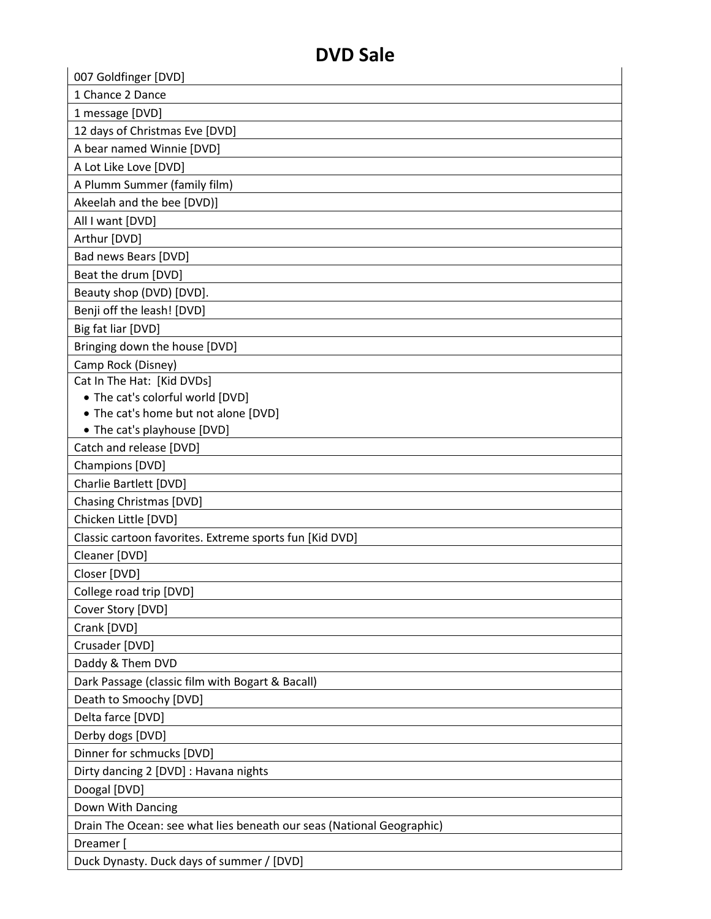| 007 Goldfinger [DVD]                                                  |
|-----------------------------------------------------------------------|
| 1 Chance 2 Dance                                                      |
| 1 message [DVD]                                                       |
| 12 days of Christmas Eve [DVD]                                        |
| A bear named Winnie [DVD]                                             |
| A Lot Like Love [DVD]                                                 |
| A Plumm Summer (family film)                                          |
|                                                                       |
| Akeelah and the bee [DVD)]                                            |
| All I want [DVD]                                                      |
| Arthur [DVD]                                                          |
| Bad news Bears [DVD]                                                  |
| Beat the drum [DVD]                                                   |
| Beauty shop (DVD) [DVD].                                              |
| Benji off the leash! [DVD]                                            |
| Big fat liar [DVD]                                                    |
| Bringing down the house [DVD]                                         |
| Camp Rock (Disney)                                                    |
| Cat In The Hat: [Kid DVDs]                                            |
| • The cat's colorful world [DVD]                                      |
| • The cat's home but not alone [DVD]                                  |
| • The cat's playhouse [DVD]                                           |
| Catch and release [DVD]                                               |
| Champions [DVD]                                                       |
| Charlie Bartlett [DVD]                                                |
| <b>Chasing Christmas [DVD]</b>                                        |
| Chicken Little [DVD]                                                  |
| Classic cartoon favorites. Extreme sports fun [Kid DVD]               |
| Cleaner [DVD]                                                         |
| Closer [DVD]                                                          |
| College road trip [DVD]                                               |
| Cover Story [DVD]                                                     |
| Crank [DVD]                                                           |
| Crusader [DVD]                                                        |
| Daddy & Them DVD                                                      |
| Dark Passage (classic film with Bogart & Bacall)                      |
| Death to Smoochy [DVD]                                                |
| Delta farce [DVD]                                                     |
| Derby dogs [DVD]                                                      |
| Dinner for schmucks [DVD]                                             |
| Dirty dancing 2 [DVD] : Havana nights                                 |
| Doogal [DVD]                                                          |
| Down With Dancing                                                     |
| Drain The Ocean: see what lies beneath our seas (National Geographic) |
| Dreamer [                                                             |
| Duck Dynasty. Duck days of summer / [DVD]                             |
|                                                                       |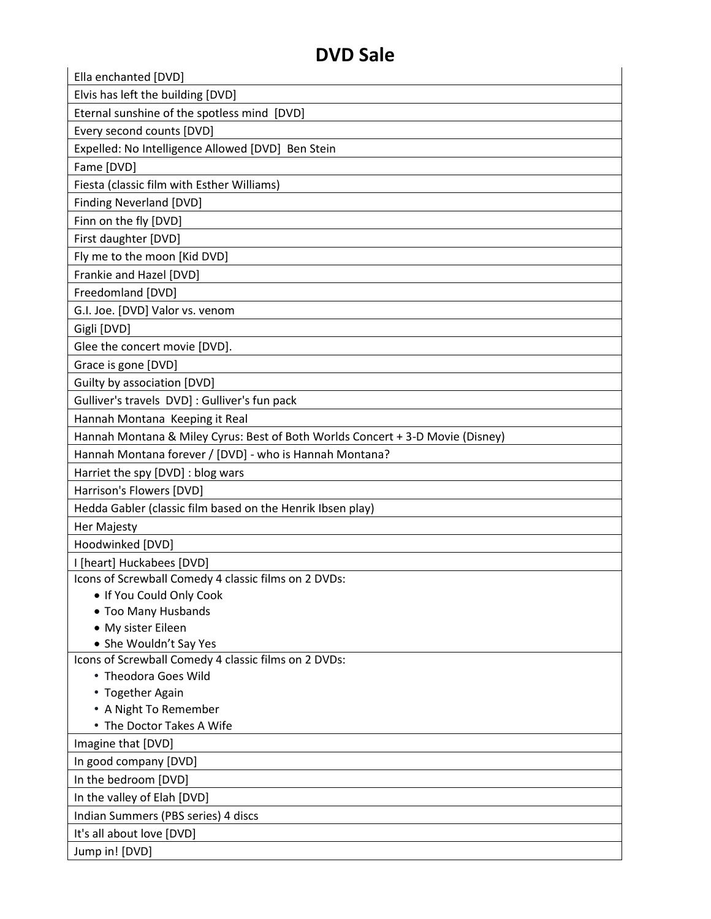| Ella enchanted [DVD]                                                           |
|--------------------------------------------------------------------------------|
| Elvis has left the building [DVD]                                              |
| Eternal sunshine of the spotless mind [DVD]                                    |
| Every second counts [DVD]                                                      |
| Expelled: No Intelligence Allowed [DVD] Ben Stein                              |
| Fame [DVD]                                                                     |
| Fiesta (classic film with Esther Williams)                                     |
| <b>Finding Neverland [DVD]</b>                                                 |
| Finn on the fly [DVD]                                                          |
| First daughter [DVD]                                                           |
| Fly me to the moon [Kid DVD]                                                   |
| Frankie and Hazel [DVD]                                                        |
| Freedomland [DVD]                                                              |
| G.I. Joe. [DVD] Valor vs. venom                                                |
| Gigli [DVD]                                                                    |
| Glee the concert movie [DVD].                                                  |
| Grace is gone [DVD]                                                            |
|                                                                                |
| Guilty by association [DVD]<br>Gulliver's travels DVD] : Gulliver's fun pack   |
|                                                                                |
| Hannah Montana Keeping it Real                                                 |
| Hannah Montana & Miley Cyrus: Best of Both Worlds Concert + 3-D Movie (Disney) |
| Hannah Montana forever / [DVD] - who is Hannah Montana?                        |
| Harriet the spy [DVD] : blog wars                                              |
| Harrison's Flowers [DVD]                                                       |
| Hedda Gabler (classic film based on the Henrik Ibsen play)                     |
| Her Majesty                                                                    |
| Hoodwinked [DVD]                                                               |
| I [heart] Huckabees [DVD]                                                      |
| Icons of Screwball Comedy 4 classic films on 2 DVDs:                           |
| . If You Could Only Cook<br>• Too Many Husbands                                |
| • My sister Eileen                                                             |
| • She Wouldn't Say Yes                                                         |
| Icons of Screwball Comedy 4 classic films on 2 DVDs:                           |
| • Theodora Goes Wild                                                           |
| • Together Again                                                               |
| • A Night To Remember                                                          |
| • The Doctor Takes A Wife                                                      |
| Imagine that [DVD]                                                             |
| In good company [DVD]                                                          |
| In the bedroom [DVD]                                                           |
| In the valley of Elah [DVD]                                                    |
| Indian Summers (PBS series) 4 discs                                            |
| It's all about love [DVD]                                                      |
| Jump in! [DVD]                                                                 |
|                                                                                |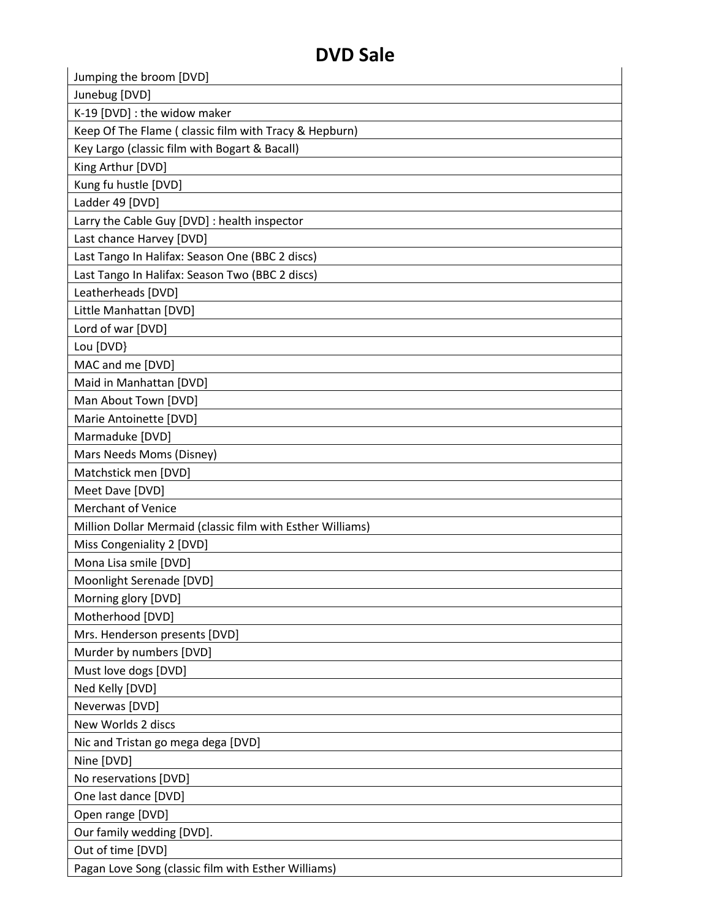| D V D JAIC                                                 |  |
|------------------------------------------------------------|--|
| Jumping the broom [DVD]                                    |  |
| Junebug [DVD]                                              |  |
| K-19 [DVD] : the widow maker                               |  |
| Keep Of The Flame ( classic film with Tracy & Hepburn)     |  |
| Key Largo (classic film with Bogart & Bacall)              |  |
| King Arthur [DVD]                                          |  |
| Kung fu hustle [DVD]                                       |  |
| Ladder 49 [DVD]                                            |  |
| Larry the Cable Guy [DVD] : health inspector               |  |
| Last chance Harvey [DVD]                                   |  |
| Last Tango In Halifax: Season One (BBC 2 discs)            |  |
| Last Tango In Halifax: Season Two (BBC 2 discs)            |  |
| Leatherheads [DVD]                                         |  |
| Little Manhattan [DVD]                                     |  |
| Lord of war [DVD]                                          |  |
| Lou [DVD}                                                  |  |
| MAC and me [DVD]                                           |  |
| Maid in Manhattan [DVD]                                    |  |
| Man About Town [DVD]                                       |  |
| Marie Antoinette [DVD]                                     |  |
| Marmaduke [DVD]                                            |  |
| Mars Needs Moms (Disney)                                   |  |
| Matchstick men [DVD]                                       |  |
| Meet Dave [DVD]                                            |  |
| <b>Merchant of Venice</b>                                  |  |
| Million Dollar Mermaid (classic film with Esther Williams) |  |
| Miss Congeniality 2 [DVD]                                  |  |
| Mona Lisa smile [DVD]                                      |  |
| Moonlight Serenade [DVD]                                   |  |
| Morning glory [DVD]                                        |  |
| Motherhood [DVD]                                           |  |
| Mrs. Henderson presents [DVD]                              |  |
| Murder by numbers [DVD]                                    |  |
| Must love dogs [DVD]                                       |  |
| Ned Kelly [DVD]                                            |  |
| Neverwas [DVD]                                             |  |
| New Worlds 2 discs                                         |  |
| Nic and Tristan go mega dega [DVD]                         |  |
| Nine [DVD]                                                 |  |
| No reservations [DVD]                                      |  |
| One last dance [DVD]                                       |  |
| Open range [DVD]                                           |  |
| Our family wedding [DVD].                                  |  |
| Out of time [DVD]                                          |  |
| Pagan Love Song (classic film with Esther Williams)        |  |
|                                                            |  |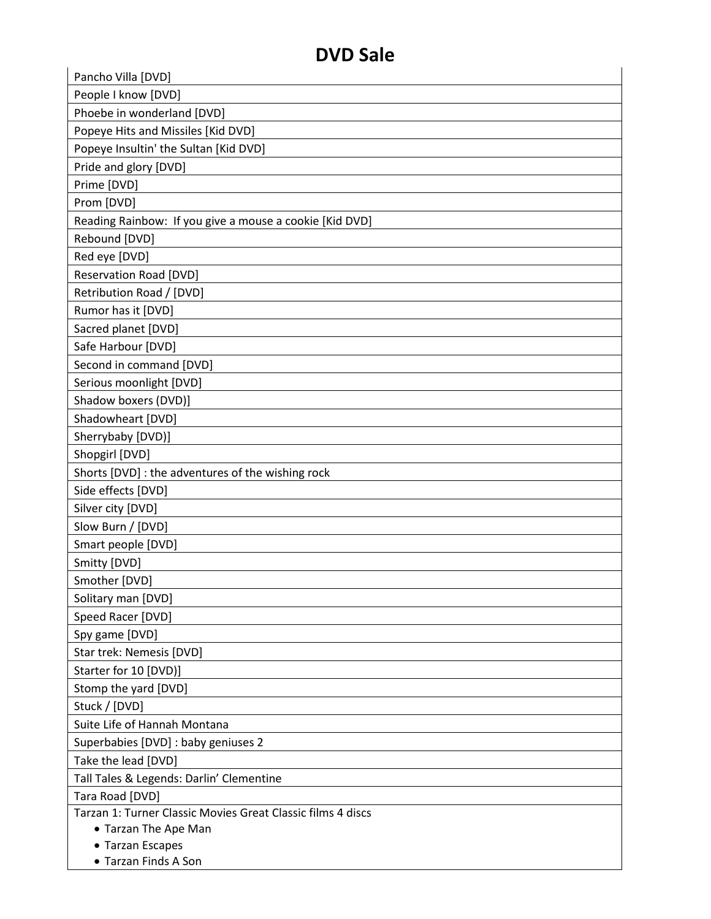| D V D JAIC                                                  |  |
|-------------------------------------------------------------|--|
| Pancho Villa [DVD]                                          |  |
| People I know [DVD]                                         |  |
| Phoebe in wonderland [DVD]                                  |  |
| Popeye Hits and Missiles [Kid DVD]                          |  |
| Popeye Insultin' the Sultan [Kid DVD]                       |  |
| Pride and glory [DVD]                                       |  |
| Prime [DVD]                                                 |  |
| Prom [DVD]                                                  |  |
| Reading Rainbow: If you give a mouse a cookie [Kid DVD]     |  |
| Rebound [DVD]                                               |  |
| Red eye [DVD]                                               |  |
| <b>Reservation Road [DVD]</b>                               |  |
| Retribution Road / [DVD]                                    |  |
| Rumor has it [DVD]                                          |  |
| Sacred planet [DVD]                                         |  |
| Safe Harbour [DVD]                                          |  |
| Second in command [DVD]                                     |  |
| Serious moonlight [DVD]                                     |  |
| Shadow boxers (DVD)]                                        |  |
| Shadowheart [DVD]                                           |  |
| Sherrybaby [DVD)]                                           |  |
| Shopgirl [DVD]                                              |  |
| Shorts [DVD] : the adventures of the wishing rock           |  |
| Side effects [DVD]                                          |  |
| Silver city [DVD]                                           |  |
| Slow Burn / [DVD]                                           |  |
| Smart people [DVD]                                          |  |
| Smitty [DVD]                                                |  |
| Smother [DVD]                                               |  |
| Solitary man [DVD]                                          |  |
| Speed Racer [DVD]                                           |  |
| Spy game [DVD]                                              |  |
| Star trek: Nemesis [DVD]                                    |  |
| Starter for 10 [DVD)]                                       |  |
| Stomp the yard [DVD]                                        |  |
| Stuck / [DVD]                                               |  |
| Suite Life of Hannah Montana                                |  |
| Superbabies [DVD] : baby geniuses 2                         |  |
| Take the lead [DVD]                                         |  |
| Tall Tales & Legends: Darlin' Clementine                    |  |
| Tara Road [DVD]                                             |  |
| Tarzan 1: Turner Classic Movies Great Classic films 4 discs |  |
| • Tarzan The Ape Man                                        |  |
| • Tarzan Escapes                                            |  |
| • Tarzan Finds A Son                                        |  |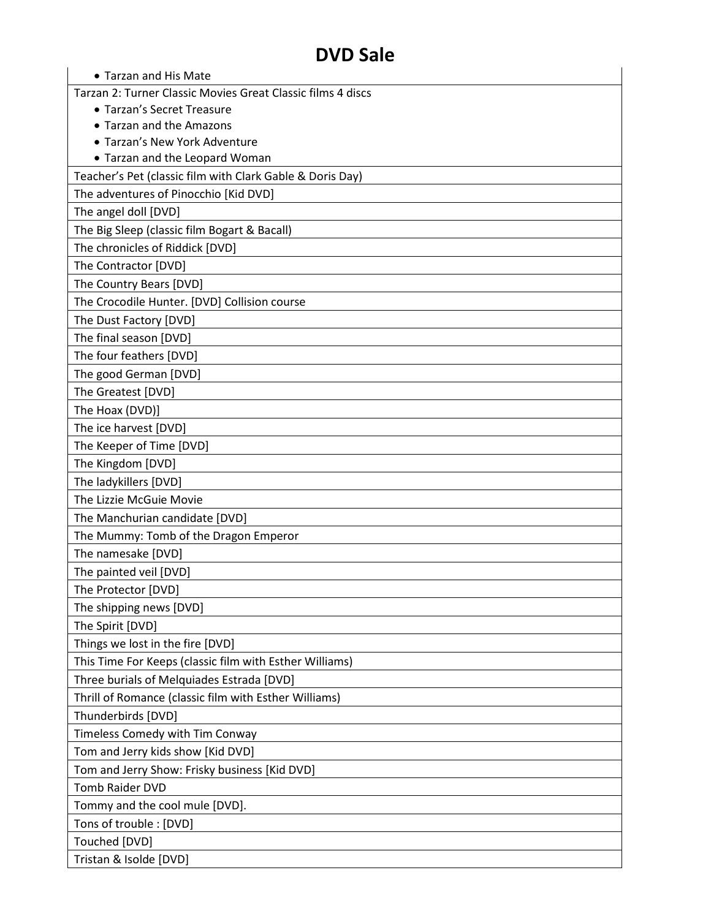| • Tarzan and His Mate                                       |
|-------------------------------------------------------------|
| Tarzan 2: Turner Classic Movies Great Classic films 4 discs |
| • Tarzan's Secret Treasure                                  |
| • Tarzan and the Amazons                                    |
| • Tarzan's New York Adventure                               |
| • Tarzan and the Leopard Woman                              |
| Teacher's Pet (classic film with Clark Gable & Doris Day)   |
| The adventures of Pinocchio [Kid DVD]                       |
| The angel doll [DVD]                                        |
| The Big Sleep (classic film Bogart & Bacall)                |
| The chronicles of Riddick [DVD]                             |
| The Contractor [DVD]                                        |
| The Country Bears [DVD]                                     |
| The Crocodile Hunter. [DVD] Collision course                |
| The Dust Factory [DVD]                                      |
| The final season [DVD]                                      |
| The four feathers [DVD]                                     |
| The good German [DVD]                                       |
| The Greatest [DVD]                                          |
| The Hoax (DVD)]                                             |
| The ice harvest [DVD]                                       |
| The Keeper of Time [DVD]                                    |
| The Kingdom [DVD]                                           |
| The ladykillers [DVD]                                       |
| The Lizzie McGuie Movie                                     |
| The Manchurian candidate [DVD]                              |
| The Mummy: Tomb of the Dragon Emperor                       |
| The namesake [DVD]                                          |
| The painted veil [DVD]                                      |
| The Protector [DVD]                                         |
| The shipping news [DVD]                                     |
| The Spirit [DVD]                                            |
| Things we lost in the fire [DVD]                            |
| This Time For Keeps (classic film with Esther Williams)     |
| Three burials of Melquiades Estrada [DVD]                   |
| Thrill of Romance (classic film with Esther Williams)       |
| Thunderbirds [DVD]                                          |
| Timeless Comedy with Tim Conway                             |
| Tom and Jerry kids show [Kid DVD]                           |
| Tom and Jerry Show: Frisky business [Kid DVD]               |
| <b>Tomb Raider DVD</b>                                      |
| Tommy and the cool mule [DVD].                              |
| Tons of trouble : [DVD]                                     |
| Touched [DVD]                                               |
| Tristan & Isolde [DVD]                                      |
|                                                             |